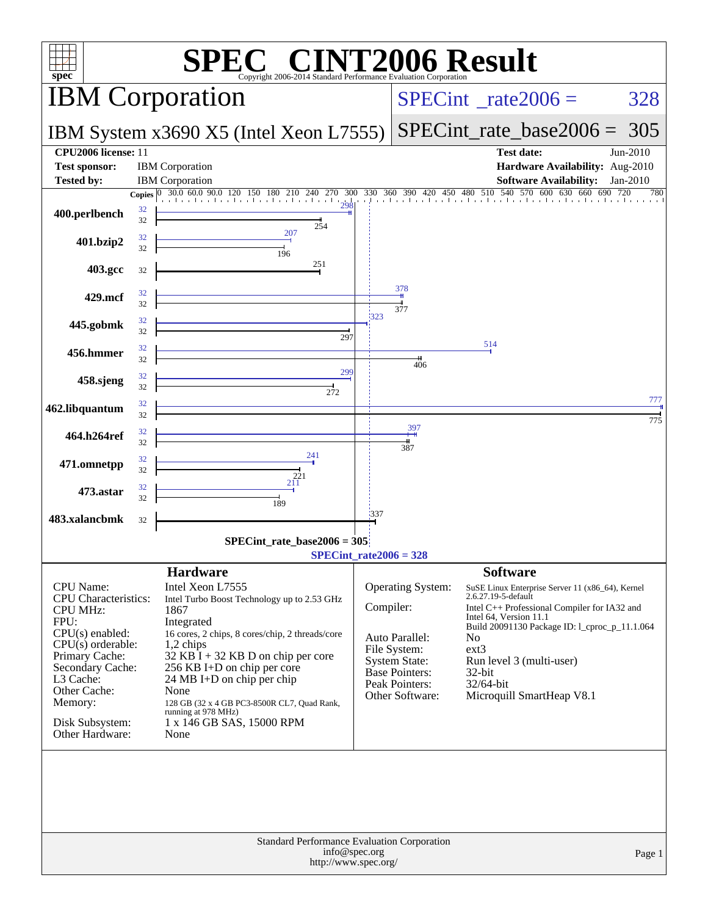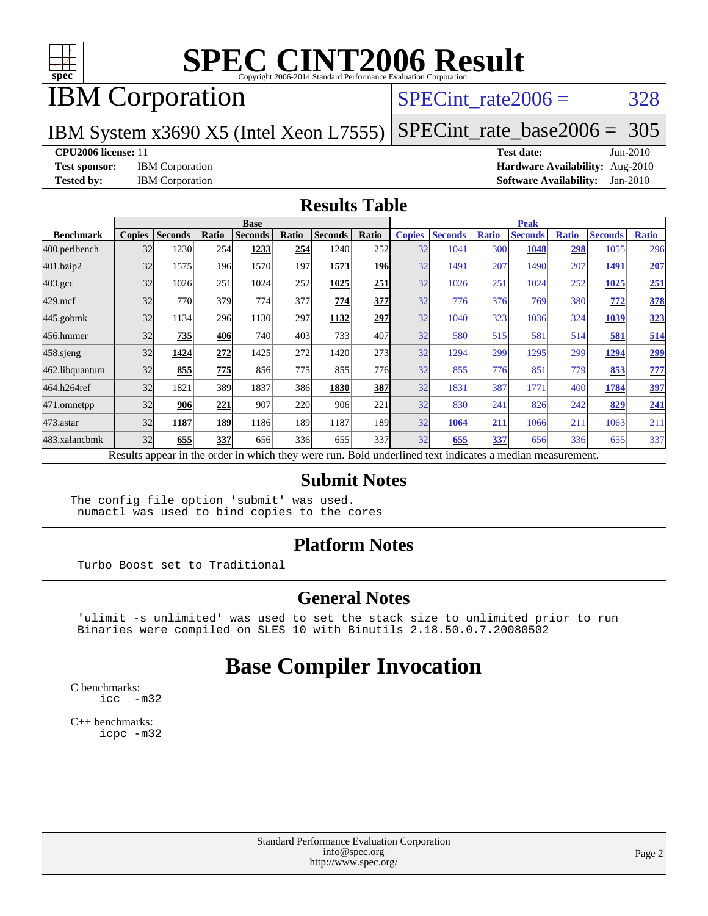

## IBM Corporation

### SPECint rate $2006 = 328$

IBM System x3690 X5 (Intel Xeon L7555) [SPECint\\_rate\\_base2006 =](http://www.spec.org/auto/cpu2006/Docs/result-fields.html#SPECintratebase2006) 305

#### **[CPU2006 license:](http://www.spec.org/auto/cpu2006/Docs/result-fields.html#CPU2006license)** 11 **[Test date:](http://www.spec.org/auto/cpu2006/Docs/result-fields.html#Testdate)** Jun-2010

**[Test sponsor:](http://www.spec.org/auto/cpu2006/Docs/result-fields.html#Testsponsor)** IBM Corporation **[Hardware Availability:](http://www.spec.org/auto/cpu2006/Docs/result-fields.html#HardwareAvailability)** Aug-2010 **[Tested by:](http://www.spec.org/auto/cpu2006/Docs/result-fields.html#Testedby)** IBM Corporation **[Software Availability:](http://www.spec.org/auto/cpu2006/Docs/result-fields.html#SoftwareAvailability)** Jan-2010

#### **[Results Table](http://www.spec.org/auto/cpu2006/Docs/result-fields.html#ResultsTable)**

|                    | <b>Base</b>   |                |            |                                                                                                          |       |                |            | <b>Peak</b>   |                |              |                |              |                |              |
|--------------------|---------------|----------------|------------|----------------------------------------------------------------------------------------------------------|-------|----------------|------------|---------------|----------------|--------------|----------------|--------------|----------------|--------------|
| <b>Benchmark</b>   | <b>Copies</b> | <b>Seconds</b> | Ratio      | <b>Seconds</b>                                                                                           | Ratio | <b>Seconds</b> | Ratio      | <b>Copies</b> | <b>Seconds</b> | <b>Ratio</b> | <b>Seconds</b> | <b>Ratio</b> | <b>Seconds</b> | <b>Ratio</b> |
| 400.perlbench      | 32            | 1230           | 254        | 1233                                                                                                     | 254   | 1240           | 252l       | 32            | 1041           | 300          | 1048           | 298          | 1055           | 296          |
| 401.bzip2          | 32            | 1575           | 196        | 1570                                                                                                     | 197   | 1573           | <b>196</b> | 32            | 1491           | 207          | 1490           | 207          | 1491           | 207          |
| $403.\mathrm{gcc}$ | 32            | 1026           | 251        | 1024                                                                                                     | 252   | 1025           | 251        | 32            | 1026           | 251          | 1024           | 252          | 1025           | 251          |
| $429$ .mcf         | 32            | 770            | 379        | 774                                                                                                      | 377   | 774            | 377        | 32            | 776            | 376          | 769            | 380          | 772            | 378          |
| $445$ .gobmk       | 32            | 1134           | 296        | 1130                                                                                                     | 297   | 1132           | 297        | 32            | 1040           | 323          | 1036           | 324          | 1039           | 323          |
| 456.hmmer          | 32            | 735            | 406        | 740                                                                                                      | 403   | 733            | 407        | 32            | 580            | 515          | 581            | 514          | 581            | 514          |
| $458$ .sjeng       | 32            | 1424           | 272        | 1425                                                                                                     | 272   | 1420           | 273        | 32            | 1294           | 299          | 1295           | 299          | 1294           | <u>299</u>   |
| 462.libquantum     | 32            | 855            | <b>775</b> | 856                                                                                                      | 775   | 855            | <b>776</b> | 32            | 855            | 776          | 851            | 779          | 853            | 777          |
| 464.h264ref        | 32            | 1821           | 389        | 1837                                                                                                     | 386   | 1830           | 387        | 32            | 1831           | 387          | 1771           | 400          | 1784           | 397          |
| 471.omnetpp        | 32            | 906            | 221        | 907                                                                                                      | 220   | 906            | 221        | 32            | 830            | 241          | 826            | 242          | 829            | 241          |
| 473.astar          | 32            | 1187           | 189        | 1186                                                                                                     | 189   | 1187           | 189I       | 32            | 1064           | 211          | 1066           | 211          | 1063           | 211          |
| 483.xalancbmk      | 32            | 655            | 337        | 656                                                                                                      | 336   | 655            | 337l       | 32            | 655            | 337          | 656            | 336          | 655            | 337          |
|                    |               |                |            | Results appear in the order in which they were run. Bold underlined text indicates a median measurement. |       |                |            |               |                |              |                |              |                |              |

#### **[Submit Notes](http://www.spec.org/auto/cpu2006/Docs/result-fields.html#SubmitNotes)**

The config file option 'submit' was used. numactl was used to bind copies to the cores

#### **[Platform Notes](http://www.spec.org/auto/cpu2006/Docs/result-fields.html#PlatformNotes)**

Turbo Boost set to Traditional

#### **[General Notes](http://www.spec.org/auto/cpu2006/Docs/result-fields.html#GeneralNotes)**

 'ulimit -s unlimited' was used to set the stack size to unlimited prior to run Binaries were compiled on SLES 10 with Binutils 2.18.50.0.7.20080502

### **[Base Compiler Invocation](http://www.spec.org/auto/cpu2006/Docs/result-fields.html#BaseCompilerInvocation)**

[C benchmarks](http://www.spec.org/auto/cpu2006/Docs/result-fields.html#Cbenchmarks): [icc -m32](http://www.spec.org/cpu2006/results/res2010q3/cpu2006-20100720-12626.flags.html#user_CCbase_intel_icc_32bit_5ff4a39e364c98233615fdd38438c6f2)

[C++ benchmarks:](http://www.spec.org/auto/cpu2006/Docs/result-fields.html#CXXbenchmarks) [icpc -m32](http://www.spec.org/cpu2006/results/res2010q3/cpu2006-20100720-12626.flags.html#user_CXXbase_intel_icpc_32bit_4e5a5ef1a53fd332b3c49e69c3330699)

> Standard Performance Evaluation Corporation [info@spec.org](mailto:info@spec.org) <http://www.spec.org/>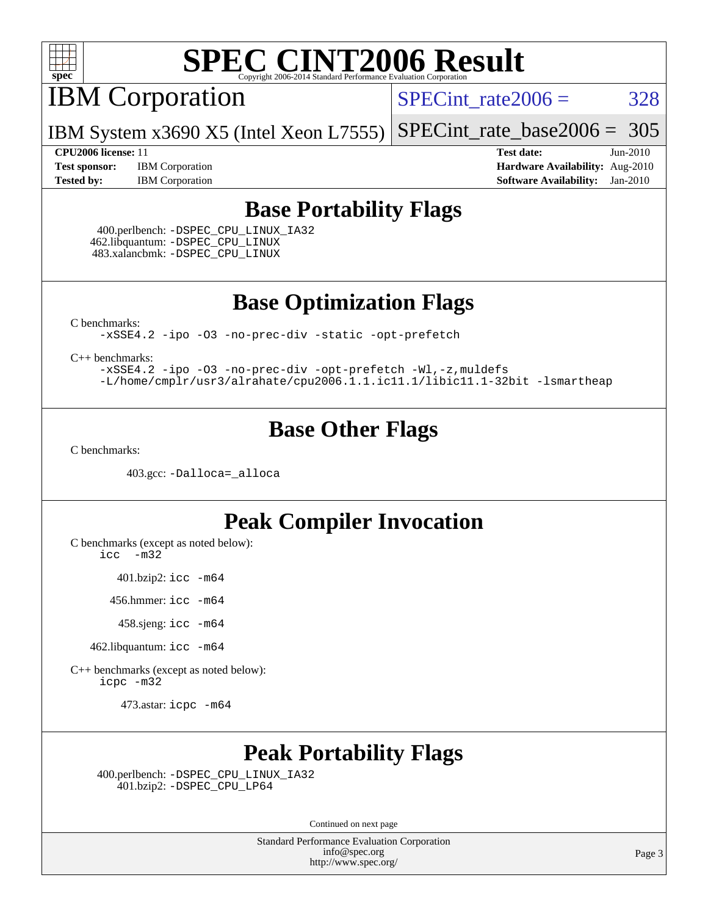

IBM Corporation

 $SPECTnt_rate2006 = 328$ 

[SPECint\\_rate\\_base2006 =](http://www.spec.org/auto/cpu2006/Docs/result-fields.html#SPECintratebase2006) 305

**[Test sponsor:](http://www.spec.org/auto/cpu2006/Docs/result-fields.html#Testsponsor)** IBM Corporation **[Hardware Availability:](http://www.spec.org/auto/cpu2006/Docs/result-fields.html#HardwareAvailability)** Aug-2010

**[CPU2006 license:](http://www.spec.org/auto/cpu2006/Docs/result-fields.html#CPU2006license)** 11 **[Test date:](http://www.spec.org/auto/cpu2006/Docs/result-fields.html#Testdate)** Jun-2010 **[Tested by:](http://www.spec.org/auto/cpu2006/Docs/result-fields.html#Testedby)** IBM Corporation **[Software Availability:](http://www.spec.org/auto/cpu2006/Docs/result-fields.html#SoftwareAvailability)** Jan-2010

### **[Base Portability Flags](http://www.spec.org/auto/cpu2006/Docs/result-fields.html#BasePortabilityFlags)**

 400.perlbench: [-DSPEC\\_CPU\\_LINUX\\_IA32](http://www.spec.org/cpu2006/results/res2010q3/cpu2006-20100720-12626.flags.html#b400.perlbench_baseCPORTABILITY_DSPEC_CPU_LINUX_IA32) 462.libquantum: [-DSPEC\\_CPU\\_LINUX](http://www.spec.org/cpu2006/results/res2010q3/cpu2006-20100720-12626.flags.html#b462.libquantum_baseCPORTABILITY_DSPEC_CPU_LINUX) 483.xalancbmk: [-DSPEC\\_CPU\\_LINUX](http://www.spec.org/cpu2006/results/res2010q3/cpu2006-20100720-12626.flags.html#b483.xalancbmk_baseCXXPORTABILITY_DSPEC_CPU_LINUX)

IBM System x3690 X5 (Intel Xeon L7555)

**[Base Optimization Flags](http://www.spec.org/auto/cpu2006/Docs/result-fields.html#BaseOptimizationFlags)**

[C benchmarks](http://www.spec.org/auto/cpu2006/Docs/result-fields.html#Cbenchmarks):

[-xSSE4.2](http://www.spec.org/cpu2006/results/res2010q3/cpu2006-20100720-12626.flags.html#user_CCbase_f-xSSE42_f91528193cf0b216347adb8b939d4107) [-ipo](http://www.spec.org/cpu2006/results/res2010q3/cpu2006-20100720-12626.flags.html#user_CCbase_f-ipo) [-O3](http://www.spec.org/cpu2006/results/res2010q3/cpu2006-20100720-12626.flags.html#user_CCbase_f-O3) [-no-prec-div](http://www.spec.org/cpu2006/results/res2010q3/cpu2006-20100720-12626.flags.html#user_CCbase_f-no-prec-div) [-static](http://www.spec.org/cpu2006/results/res2010q3/cpu2006-20100720-12626.flags.html#user_CCbase_f-static) [-opt-prefetch](http://www.spec.org/cpu2006/results/res2010q3/cpu2006-20100720-12626.flags.html#user_CCbase_f-opt-prefetch)

[C++ benchmarks:](http://www.spec.org/auto/cpu2006/Docs/result-fields.html#CXXbenchmarks)

[-xSSE4.2](http://www.spec.org/cpu2006/results/res2010q3/cpu2006-20100720-12626.flags.html#user_CXXbase_f-xSSE42_f91528193cf0b216347adb8b939d4107) [-ipo](http://www.spec.org/cpu2006/results/res2010q3/cpu2006-20100720-12626.flags.html#user_CXXbase_f-ipo) [-O3](http://www.spec.org/cpu2006/results/res2010q3/cpu2006-20100720-12626.flags.html#user_CXXbase_f-O3) [-no-prec-div](http://www.spec.org/cpu2006/results/res2010q3/cpu2006-20100720-12626.flags.html#user_CXXbase_f-no-prec-div) [-opt-prefetch](http://www.spec.org/cpu2006/results/res2010q3/cpu2006-20100720-12626.flags.html#user_CXXbase_f-opt-prefetch) [-Wl,-z,muldefs](http://www.spec.org/cpu2006/results/res2010q3/cpu2006-20100720-12626.flags.html#user_CXXbase_link_force_multiple1_74079c344b956b9658436fd1b6dd3a8a) [-L/home/cmplr/usr3/alrahate/cpu2006.1.1.ic11.1/libic11.1-32bit -lsmartheap](http://www.spec.org/cpu2006/results/res2010q3/cpu2006-20100720-12626.flags.html#user_CXXbase_SmartHeap_d86dffe4a79b79ef8890d5cce17030c3)

### **[Base Other Flags](http://www.spec.org/auto/cpu2006/Docs/result-fields.html#BaseOtherFlags)**

[C benchmarks](http://www.spec.org/auto/cpu2006/Docs/result-fields.html#Cbenchmarks):

403.gcc: [-Dalloca=\\_alloca](http://www.spec.org/cpu2006/results/res2010q3/cpu2006-20100720-12626.flags.html#b403.gcc_baseEXTRA_CFLAGS_Dalloca_be3056838c12de2578596ca5467af7f3)

### **[Peak Compiler Invocation](http://www.spec.org/auto/cpu2006/Docs/result-fields.html#PeakCompilerInvocation)**

[C benchmarks \(except as noted below\)](http://www.spec.org/auto/cpu2006/Docs/result-fields.html#Cbenchmarksexceptasnotedbelow):

[icc -m32](http://www.spec.org/cpu2006/results/res2010q3/cpu2006-20100720-12626.flags.html#user_CCpeak_intel_icc_32bit_5ff4a39e364c98233615fdd38438c6f2)

401.bzip2: [icc -m64](http://www.spec.org/cpu2006/results/res2010q3/cpu2006-20100720-12626.flags.html#user_peakCCLD401_bzip2_intel_icc_64bit_bda6cc9af1fdbb0edc3795bac97ada53)

456.hmmer: [icc -m64](http://www.spec.org/cpu2006/results/res2010q3/cpu2006-20100720-12626.flags.html#user_peakCCLD456_hmmer_intel_icc_64bit_bda6cc9af1fdbb0edc3795bac97ada53)

458.sjeng: [icc -m64](http://www.spec.org/cpu2006/results/res2010q3/cpu2006-20100720-12626.flags.html#user_peakCCLD458_sjeng_intel_icc_64bit_bda6cc9af1fdbb0edc3795bac97ada53)

462.libquantum: [icc -m64](http://www.spec.org/cpu2006/results/res2010q3/cpu2006-20100720-12626.flags.html#user_peakCCLD462_libquantum_intel_icc_64bit_bda6cc9af1fdbb0edc3795bac97ada53)

[C++ benchmarks \(except as noted below\):](http://www.spec.org/auto/cpu2006/Docs/result-fields.html#CXXbenchmarksexceptasnotedbelow) [icpc -m32](http://www.spec.org/cpu2006/results/res2010q3/cpu2006-20100720-12626.flags.html#user_CXXpeak_intel_icpc_32bit_4e5a5ef1a53fd332b3c49e69c3330699)

473.astar: [icpc -m64](http://www.spec.org/cpu2006/results/res2010q3/cpu2006-20100720-12626.flags.html#user_peakCXXLD473_astar_intel_icpc_64bit_fc66a5337ce925472a5c54ad6a0de310)

## **[Peak Portability Flags](http://www.spec.org/auto/cpu2006/Docs/result-fields.html#PeakPortabilityFlags)**

 400.perlbench: [-DSPEC\\_CPU\\_LINUX\\_IA32](http://www.spec.org/cpu2006/results/res2010q3/cpu2006-20100720-12626.flags.html#b400.perlbench_peakCPORTABILITY_DSPEC_CPU_LINUX_IA32) 401.bzip2: [-DSPEC\\_CPU\\_LP64](http://www.spec.org/cpu2006/results/res2010q3/cpu2006-20100720-12626.flags.html#suite_peakCPORTABILITY401_bzip2_DSPEC_CPU_LP64)

Continued on next page

Standard Performance Evaluation Corporation [info@spec.org](mailto:info@spec.org) <http://www.spec.org/>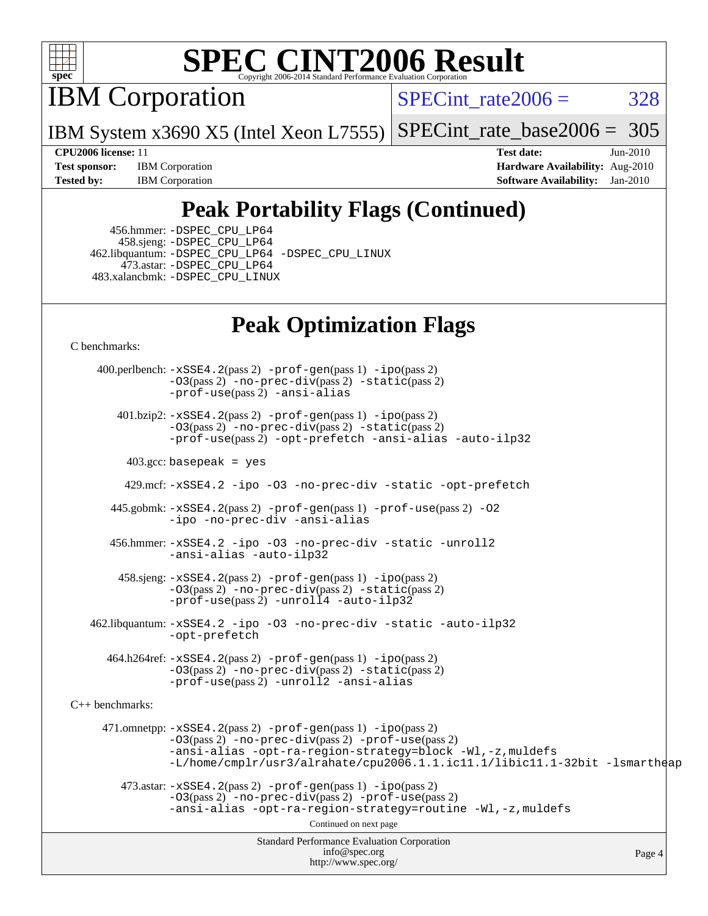

IBM Corporation

SPECint rate $2006 = 328$ 

IBM System x3690 X5 (Intel Xeon L7555) [SPECint\\_rate\\_base2006 =](http://www.spec.org/auto/cpu2006/Docs/result-fields.html#SPECintratebase2006) 305

**[CPU2006 license:](http://www.spec.org/auto/cpu2006/Docs/result-fields.html#CPU2006license)** 11 **[Test date:](http://www.spec.org/auto/cpu2006/Docs/result-fields.html#Testdate)** Jun-2010 **[Test sponsor:](http://www.spec.org/auto/cpu2006/Docs/result-fields.html#Testsponsor)** IBM Corporation **[Hardware Availability:](http://www.spec.org/auto/cpu2006/Docs/result-fields.html#HardwareAvailability)** Aug-2010 **[Tested by:](http://www.spec.org/auto/cpu2006/Docs/result-fields.html#Testedby)** IBM Corporation **[Software Availability:](http://www.spec.org/auto/cpu2006/Docs/result-fields.html#SoftwareAvailability)** Jan-2010

## **[Peak Portability Flags \(Continued\)](http://www.spec.org/auto/cpu2006/Docs/result-fields.html#PeakPortabilityFlags)**

 456.hmmer: [-DSPEC\\_CPU\\_LP64](http://www.spec.org/cpu2006/results/res2010q3/cpu2006-20100720-12626.flags.html#suite_peakCPORTABILITY456_hmmer_DSPEC_CPU_LP64) 458.sjeng: [-DSPEC\\_CPU\\_LP64](http://www.spec.org/cpu2006/results/res2010q3/cpu2006-20100720-12626.flags.html#suite_peakCPORTABILITY458_sjeng_DSPEC_CPU_LP64) 462.libquantum: [-DSPEC\\_CPU\\_LP64](http://www.spec.org/cpu2006/results/res2010q3/cpu2006-20100720-12626.flags.html#suite_peakCPORTABILITY462_libquantum_DSPEC_CPU_LP64) [-DSPEC\\_CPU\\_LINUX](http://www.spec.org/cpu2006/results/res2010q3/cpu2006-20100720-12626.flags.html#b462.libquantum_peakCPORTABILITY_DSPEC_CPU_LINUX) 473.astar: [-DSPEC\\_CPU\\_LP64](http://www.spec.org/cpu2006/results/res2010q3/cpu2006-20100720-12626.flags.html#suite_peakCXXPORTABILITY473_astar_DSPEC_CPU_LP64) 483.xalancbmk: [-DSPEC\\_CPU\\_LINUX](http://www.spec.org/cpu2006/results/res2010q3/cpu2006-20100720-12626.flags.html#b483.xalancbmk_peakCXXPORTABILITY_DSPEC_CPU_LINUX)

## **[Peak Optimization Flags](http://www.spec.org/auto/cpu2006/Docs/result-fields.html#PeakOptimizationFlags)**

[C benchmarks](http://www.spec.org/auto/cpu2006/Docs/result-fields.html#Cbenchmarks):

Standard Performance Evaluation Corporation [info@spec.org](mailto:info@spec.org) <http://www.spec.org/> Page 4 400.perlbench: [-xSSE4.2](http://www.spec.org/cpu2006/results/res2010q3/cpu2006-20100720-12626.flags.html#user_peakPASS2_CFLAGSPASS2_LDCFLAGS400_perlbench_f-xSSE42_f91528193cf0b216347adb8b939d4107)(pass 2) [-prof-gen](http://www.spec.org/cpu2006/results/res2010q3/cpu2006-20100720-12626.flags.html#user_peakPASS1_CFLAGSPASS1_LDCFLAGS400_perlbench_prof_gen_e43856698f6ca7b7e442dfd80e94a8fc)(pass 1) [-ipo](http://www.spec.org/cpu2006/results/res2010q3/cpu2006-20100720-12626.flags.html#user_peakPASS2_CFLAGSPASS2_LDCFLAGS400_perlbench_f-ipo)(pass 2) [-O3](http://www.spec.org/cpu2006/results/res2010q3/cpu2006-20100720-12626.flags.html#user_peakPASS2_CFLAGSPASS2_LDCFLAGS400_perlbench_f-O3)(pass 2) [-no-prec-div](http://www.spec.org/cpu2006/results/res2010q3/cpu2006-20100720-12626.flags.html#user_peakPASS2_CFLAGSPASS2_LDCFLAGS400_perlbench_f-no-prec-div)(pass 2) [-static](http://www.spec.org/cpu2006/results/res2010q3/cpu2006-20100720-12626.flags.html#user_peakPASS2_CFLAGSPASS2_LDCFLAGS400_perlbench_f-static)(pass 2) [-prof-use](http://www.spec.org/cpu2006/results/res2010q3/cpu2006-20100720-12626.flags.html#user_peakPASS2_CFLAGSPASS2_LDCFLAGS400_perlbench_prof_use_bccf7792157ff70d64e32fe3e1250b55)(pass 2) [-ansi-alias](http://www.spec.org/cpu2006/results/res2010q3/cpu2006-20100720-12626.flags.html#user_peakCOPTIMIZE400_perlbench_f-ansi-alias) 401.bzip2: [-xSSE4.2](http://www.spec.org/cpu2006/results/res2010q3/cpu2006-20100720-12626.flags.html#user_peakPASS2_CFLAGSPASS2_LDCFLAGS401_bzip2_f-xSSE42_f91528193cf0b216347adb8b939d4107)(pass 2) [-prof-gen](http://www.spec.org/cpu2006/results/res2010q3/cpu2006-20100720-12626.flags.html#user_peakPASS1_CFLAGSPASS1_LDCFLAGS401_bzip2_prof_gen_e43856698f6ca7b7e442dfd80e94a8fc)(pass 1) [-ipo](http://www.spec.org/cpu2006/results/res2010q3/cpu2006-20100720-12626.flags.html#user_peakPASS2_CFLAGSPASS2_LDCFLAGS401_bzip2_f-ipo)(pass 2) [-O3](http://www.spec.org/cpu2006/results/res2010q3/cpu2006-20100720-12626.flags.html#user_peakPASS2_CFLAGSPASS2_LDCFLAGS401_bzip2_f-O3)(pass 2) [-no-prec-div](http://www.spec.org/cpu2006/results/res2010q3/cpu2006-20100720-12626.flags.html#user_peakPASS2_CFLAGSPASS2_LDCFLAGS401_bzip2_f-no-prec-div)(pass 2) [-static](http://www.spec.org/cpu2006/results/res2010q3/cpu2006-20100720-12626.flags.html#user_peakPASS2_CFLAGSPASS2_LDCFLAGS401_bzip2_f-static)(pass 2) [-prof-use](http://www.spec.org/cpu2006/results/res2010q3/cpu2006-20100720-12626.flags.html#user_peakPASS2_CFLAGSPASS2_LDCFLAGS401_bzip2_prof_use_bccf7792157ff70d64e32fe3e1250b55)(pass 2) [-opt-prefetch](http://www.spec.org/cpu2006/results/res2010q3/cpu2006-20100720-12626.flags.html#user_peakCOPTIMIZE401_bzip2_f-opt-prefetch) [-ansi-alias](http://www.spec.org/cpu2006/results/res2010q3/cpu2006-20100720-12626.flags.html#user_peakCOPTIMIZE401_bzip2_f-ansi-alias) [-auto-ilp32](http://www.spec.org/cpu2006/results/res2010q3/cpu2006-20100720-12626.flags.html#user_peakCOPTIMIZE401_bzip2_f-auto-ilp32)  $403.\text{gcc: basepeak}$  = yes 429.mcf: [-xSSE4.2](http://www.spec.org/cpu2006/results/res2010q3/cpu2006-20100720-12626.flags.html#user_peakCOPTIMIZE429_mcf_f-xSSE42_f91528193cf0b216347adb8b939d4107) [-ipo](http://www.spec.org/cpu2006/results/res2010q3/cpu2006-20100720-12626.flags.html#user_peakCOPTIMIZE429_mcf_f-ipo) [-O3](http://www.spec.org/cpu2006/results/res2010q3/cpu2006-20100720-12626.flags.html#user_peakCOPTIMIZE429_mcf_f-O3) [-no-prec-div](http://www.spec.org/cpu2006/results/res2010q3/cpu2006-20100720-12626.flags.html#user_peakCOPTIMIZE429_mcf_f-no-prec-div) [-static](http://www.spec.org/cpu2006/results/res2010q3/cpu2006-20100720-12626.flags.html#user_peakCOPTIMIZE429_mcf_f-static) [-opt-prefetch](http://www.spec.org/cpu2006/results/res2010q3/cpu2006-20100720-12626.flags.html#user_peakCOPTIMIZE429_mcf_f-opt-prefetch) 445.gobmk: [-xSSE4.2](http://www.spec.org/cpu2006/results/res2010q3/cpu2006-20100720-12626.flags.html#user_peakPASS2_CFLAGSPASS2_LDCFLAGS445_gobmk_f-xSSE42_f91528193cf0b216347adb8b939d4107)(pass 2) [-prof-gen](http://www.spec.org/cpu2006/results/res2010q3/cpu2006-20100720-12626.flags.html#user_peakPASS1_CFLAGSPASS1_LDCFLAGS445_gobmk_prof_gen_e43856698f6ca7b7e442dfd80e94a8fc)(pass 1) [-prof-use](http://www.spec.org/cpu2006/results/res2010q3/cpu2006-20100720-12626.flags.html#user_peakPASS2_CFLAGSPASS2_LDCFLAGS445_gobmk_prof_use_bccf7792157ff70d64e32fe3e1250b55)(pass 2) [-O2](http://www.spec.org/cpu2006/results/res2010q3/cpu2006-20100720-12626.flags.html#user_peakCOPTIMIZE445_gobmk_f-O2) [-ipo](http://www.spec.org/cpu2006/results/res2010q3/cpu2006-20100720-12626.flags.html#user_peakCOPTIMIZE445_gobmk_f-ipo) [-no-prec-div](http://www.spec.org/cpu2006/results/res2010q3/cpu2006-20100720-12626.flags.html#user_peakCOPTIMIZE445_gobmk_f-no-prec-div) [-ansi-alias](http://www.spec.org/cpu2006/results/res2010q3/cpu2006-20100720-12626.flags.html#user_peakCOPTIMIZE445_gobmk_f-ansi-alias) 456.hmmer: [-xSSE4.2](http://www.spec.org/cpu2006/results/res2010q3/cpu2006-20100720-12626.flags.html#user_peakCOPTIMIZE456_hmmer_f-xSSE42_f91528193cf0b216347adb8b939d4107) [-ipo](http://www.spec.org/cpu2006/results/res2010q3/cpu2006-20100720-12626.flags.html#user_peakCOPTIMIZE456_hmmer_f-ipo) [-O3](http://www.spec.org/cpu2006/results/res2010q3/cpu2006-20100720-12626.flags.html#user_peakCOPTIMIZE456_hmmer_f-O3) [-no-prec-div](http://www.spec.org/cpu2006/results/res2010q3/cpu2006-20100720-12626.flags.html#user_peakCOPTIMIZE456_hmmer_f-no-prec-div) [-static](http://www.spec.org/cpu2006/results/res2010q3/cpu2006-20100720-12626.flags.html#user_peakCOPTIMIZE456_hmmer_f-static) [-unroll2](http://www.spec.org/cpu2006/results/res2010q3/cpu2006-20100720-12626.flags.html#user_peakCOPTIMIZE456_hmmer_f-unroll_784dae83bebfb236979b41d2422d7ec2) [-ansi-alias](http://www.spec.org/cpu2006/results/res2010q3/cpu2006-20100720-12626.flags.html#user_peakCOPTIMIZE456_hmmer_f-ansi-alias) [-auto-ilp32](http://www.spec.org/cpu2006/results/res2010q3/cpu2006-20100720-12626.flags.html#user_peakCOPTIMIZE456_hmmer_f-auto-ilp32) 458.sjeng: [-xSSE4.2](http://www.spec.org/cpu2006/results/res2010q3/cpu2006-20100720-12626.flags.html#user_peakPASS2_CFLAGSPASS2_LDCFLAGS458_sjeng_f-xSSE42_f91528193cf0b216347adb8b939d4107)(pass 2) [-prof-gen](http://www.spec.org/cpu2006/results/res2010q3/cpu2006-20100720-12626.flags.html#user_peakPASS1_CFLAGSPASS1_LDCFLAGS458_sjeng_prof_gen_e43856698f6ca7b7e442dfd80e94a8fc)(pass 1) [-ipo](http://www.spec.org/cpu2006/results/res2010q3/cpu2006-20100720-12626.flags.html#user_peakPASS2_CFLAGSPASS2_LDCFLAGS458_sjeng_f-ipo)(pass 2) [-O3](http://www.spec.org/cpu2006/results/res2010q3/cpu2006-20100720-12626.flags.html#user_peakPASS2_CFLAGSPASS2_LDCFLAGS458_sjeng_f-O3)(pass 2) [-no-prec-div](http://www.spec.org/cpu2006/results/res2010q3/cpu2006-20100720-12626.flags.html#user_peakPASS2_CFLAGSPASS2_LDCFLAGS458_sjeng_f-no-prec-div)(pass 2) [-static](http://www.spec.org/cpu2006/results/res2010q3/cpu2006-20100720-12626.flags.html#user_peakPASS2_CFLAGSPASS2_LDCFLAGS458_sjeng_f-static)(pass 2) [-prof-use](http://www.spec.org/cpu2006/results/res2010q3/cpu2006-20100720-12626.flags.html#user_peakPASS2_CFLAGSPASS2_LDCFLAGS458_sjeng_prof_use_bccf7792157ff70d64e32fe3e1250b55)(pass 2) [-unroll4](http://www.spec.org/cpu2006/results/res2010q3/cpu2006-20100720-12626.flags.html#user_peakCOPTIMIZE458_sjeng_f-unroll_4e5e4ed65b7fd20bdcd365bec371b81f) [-auto-ilp32](http://www.spec.org/cpu2006/results/res2010q3/cpu2006-20100720-12626.flags.html#user_peakCOPTIMIZE458_sjeng_f-auto-ilp32) 462.libquantum: [-xSSE4.2](http://www.spec.org/cpu2006/results/res2010q3/cpu2006-20100720-12626.flags.html#user_peakCOPTIMIZE462_libquantum_f-xSSE42_f91528193cf0b216347adb8b939d4107) [-ipo](http://www.spec.org/cpu2006/results/res2010q3/cpu2006-20100720-12626.flags.html#user_peakCOPTIMIZE462_libquantum_f-ipo) [-O3](http://www.spec.org/cpu2006/results/res2010q3/cpu2006-20100720-12626.flags.html#user_peakCOPTIMIZE462_libquantum_f-O3) [-no-prec-div](http://www.spec.org/cpu2006/results/res2010q3/cpu2006-20100720-12626.flags.html#user_peakCOPTIMIZE462_libquantum_f-no-prec-div) [-static](http://www.spec.org/cpu2006/results/res2010q3/cpu2006-20100720-12626.flags.html#user_peakCOPTIMIZE462_libquantum_f-static) [-auto-ilp32](http://www.spec.org/cpu2006/results/res2010q3/cpu2006-20100720-12626.flags.html#user_peakCOPTIMIZE462_libquantum_f-auto-ilp32) [-opt-prefetch](http://www.spec.org/cpu2006/results/res2010q3/cpu2006-20100720-12626.flags.html#user_peakCOPTIMIZE462_libquantum_f-opt-prefetch) 464.h264ref: [-xSSE4.2](http://www.spec.org/cpu2006/results/res2010q3/cpu2006-20100720-12626.flags.html#user_peakPASS2_CFLAGSPASS2_LDCFLAGS464_h264ref_f-xSSE42_f91528193cf0b216347adb8b939d4107)(pass 2) [-prof-gen](http://www.spec.org/cpu2006/results/res2010q3/cpu2006-20100720-12626.flags.html#user_peakPASS1_CFLAGSPASS1_LDCFLAGS464_h264ref_prof_gen_e43856698f6ca7b7e442dfd80e94a8fc)(pass 1) [-ipo](http://www.spec.org/cpu2006/results/res2010q3/cpu2006-20100720-12626.flags.html#user_peakPASS2_CFLAGSPASS2_LDCFLAGS464_h264ref_f-ipo)(pass 2) [-O3](http://www.spec.org/cpu2006/results/res2010q3/cpu2006-20100720-12626.flags.html#user_peakPASS2_CFLAGSPASS2_LDCFLAGS464_h264ref_f-O3)(pass 2) [-no-prec-div](http://www.spec.org/cpu2006/results/res2010q3/cpu2006-20100720-12626.flags.html#user_peakPASS2_CFLAGSPASS2_LDCFLAGS464_h264ref_f-no-prec-div)(pass 2) [-static](http://www.spec.org/cpu2006/results/res2010q3/cpu2006-20100720-12626.flags.html#user_peakPASS2_CFLAGSPASS2_LDCFLAGS464_h264ref_f-static)(pass 2) [-prof-use](http://www.spec.org/cpu2006/results/res2010q3/cpu2006-20100720-12626.flags.html#user_peakPASS2_CFLAGSPASS2_LDCFLAGS464_h264ref_prof_use_bccf7792157ff70d64e32fe3e1250b55)(pass 2) [-unroll2](http://www.spec.org/cpu2006/results/res2010q3/cpu2006-20100720-12626.flags.html#user_peakCOPTIMIZE464_h264ref_f-unroll_784dae83bebfb236979b41d2422d7ec2) [-ansi-alias](http://www.spec.org/cpu2006/results/res2010q3/cpu2006-20100720-12626.flags.html#user_peakCOPTIMIZE464_h264ref_f-ansi-alias) [C++ benchmarks:](http://www.spec.org/auto/cpu2006/Docs/result-fields.html#CXXbenchmarks) 471.omnetpp: [-xSSE4.2](http://www.spec.org/cpu2006/results/res2010q3/cpu2006-20100720-12626.flags.html#user_peakPASS2_CXXFLAGSPASS2_LDCXXFLAGS471_omnetpp_f-xSSE42_f91528193cf0b216347adb8b939d4107)(pass 2) [-prof-gen](http://www.spec.org/cpu2006/results/res2010q3/cpu2006-20100720-12626.flags.html#user_peakPASS1_CXXFLAGSPASS1_LDCXXFLAGS471_omnetpp_prof_gen_e43856698f6ca7b7e442dfd80e94a8fc)(pass 1) [-ipo](http://www.spec.org/cpu2006/results/res2010q3/cpu2006-20100720-12626.flags.html#user_peakPASS2_CXXFLAGSPASS2_LDCXXFLAGS471_omnetpp_f-ipo)(pass 2) [-O3](http://www.spec.org/cpu2006/results/res2010q3/cpu2006-20100720-12626.flags.html#user_peakPASS2_CXXFLAGSPASS2_LDCXXFLAGS471_omnetpp_f-O3)(pass 2) [-no-prec-div](http://www.spec.org/cpu2006/results/res2010q3/cpu2006-20100720-12626.flags.html#user_peakPASS2_CXXFLAGSPASS2_LDCXXFLAGS471_omnetpp_f-no-prec-div)(pass 2) [-prof-use](http://www.spec.org/cpu2006/results/res2010q3/cpu2006-20100720-12626.flags.html#user_peakPASS2_CXXFLAGSPASS2_LDCXXFLAGS471_omnetpp_prof_use_bccf7792157ff70d64e32fe3e1250b55)(pass 2) [-ansi-alias](http://www.spec.org/cpu2006/results/res2010q3/cpu2006-20100720-12626.flags.html#user_peakCXXOPTIMIZE471_omnetpp_f-ansi-alias) [-opt-ra-region-strategy=block](http://www.spec.org/cpu2006/results/res2010q3/cpu2006-20100720-12626.flags.html#user_peakCXXOPTIMIZE471_omnetpp_f-opt-ra-region-strategy-block_a0a37c372d03933b2a18d4af463c1f69) [-Wl,-z,muldefs](http://www.spec.org/cpu2006/results/res2010q3/cpu2006-20100720-12626.flags.html#user_peakEXTRA_LDFLAGS471_omnetpp_link_force_multiple1_74079c344b956b9658436fd1b6dd3a8a) [-L/home/cmplr/usr3/alrahate/cpu2006.1.1.ic11.1/libic11.1-32bit -lsmartheap](http://www.spec.org/cpu2006/results/res2010q3/cpu2006-20100720-12626.flags.html#user_peakEXTRA_LIBS471_omnetpp_SmartHeap_d86dffe4a79b79ef8890d5cce17030c3)  $473.\text{astar: } -xSSE4$ .  $2(\text{pass 2})$   $-\text{prof-gen}(\text{pass 1})$   $-i\text{po}(\text{pass 2})$ [-O3](http://www.spec.org/cpu2006/results/res2010q3/cpu2006-20100720-12626.flags.html#user_peakPASS2_CXXFLAGSPASS2_LDCXXFLAGS473_astar_f-O3)(pass 2) [-no-prec-div](http://www.spec.org/cpu2006/results/res2010q3/cpu2006-20100720-12626.flags.html#user_peakPASS2_CXXFLAGSPASS2_LDCXXFLAGS473_astar_f-no-prec-div)(pass 2) [-prof-use](http://www.spec.org/cpu2006/results/res2010q3/cpu2006-20100720-12626.flags.html#user_peakPASS2_CXXFLAGSPASS2_LDCXXFLAGS473_astar_prof_use_bccf7792157ff70d64e32fe3e1250b55)(pass 2) [-ansi-alias](http://www.spec.org/cpu2006/results/res2010q3/cpu2006-20100720-12626.flags.html#user_peakCXXOPTIMIZE473_astar_f-ansi-alias) [-opt-ra-region-strategy=routine](http://www.spec.org/cpu2006/results/res2010q3/cpu2006-20100720-12626.flags.html#user_peakCXXOPTIMIZE473_astar_f-opt-ra-region-strategy-routine_ba086ea3b1d46a52e1238e2ca173ed44) [-Wl,-z,muldefs](http://www.spec.org/cpu2006/results/res2010q3/cpu2006-20100720-12626.flags.html#user_peakEXTRA_LDFLAGS473_astar_link_force_multiple1_74079c344b956b9658436fd1b6dd3a8a) Continued on next page